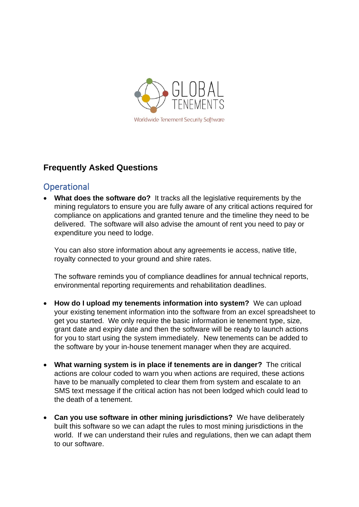

## **Frequently Asked Questions**

## **Operational**

• **What does the software do?** It tracks all the legislative requirements by the mining regulators to ensure you are fully aware of any critical actions required for compliance on applications and granted tenure and the timeline they need to be delivered. The software will also advise the amount of rent you need to pay or expenditure you need to lodge.

You can also store information about any agreements ie access, native title, royalty connected to your ground and shire rates.

The software reminds you of compliance deadlines for annual technical reports, environmental reporting requirements and rehabilitation deadlines.

- **How do I upload my tenements information into system?** We can upload your existing tenement information into the software from an excel spreadsheet to get you started. We only require the basic information ie tenement type, size, grant date and expiry date and then the software will be ready to launch actions for you to start using the system immediately.New tenements can be added to the software by your in-house tenement manager when they are acquired.
- **What warning system is in place if tenements are in danger?** The critical actions are colour coded to warn you when actions are required, these actions have to be manually completed to clear them from system and escalate to an SMS text message if the critical action has not been lodged which could lead to the death of a tenement.
- **Can you use software in other mining jurisdictions?** We have deliberately built this software so we can adapt the rules to most mining jurisdictions in the world. If we can understand their rules and regulations, then we can adapt them to our software.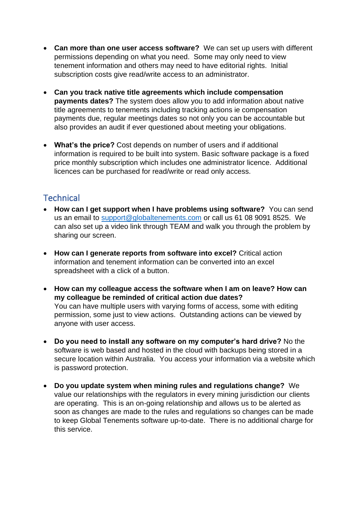- **Can more than one user access software?** We can set up users with different permissions depending on what you need. Some may only need to view tenement information and others may need to have editorial rights. Initial subscription costs give read/write access to an administrator.
- **Can you track native title agreements which include compensation payments dates?** The system does allow you to add information about native title agreements to tenements including tracking actions ie compensation payments due, regular meetings dates so not only you can be accountable but also provides an audit if ever questioned about meeting your obligations.
- **What's the price?** Cost depends on number of users and if additional information is required to be built into system. Basic software package is a fixed price monthly subscription which includes one administrator licence. Additional licences can be purchased for read/write or read only access.

## **Technical**

- **How can I get support when I have problems using software?** You can send us an email to [support@globaltenements.com](mailto:support@globaltenements.com) or call us 61 08 9091 8525. We can also set up a video link through TEAM and walk you through the problem by sharing our screen.
- **How can I generate reports from software into excel?** Critical action information and tenement information can be converted into an excel spreadsheet with a click of a button.
- **How can my colleague access the software when I am on leave? How can my colleague be reminded of critical action due dates?** You can have multiple users with varying forms of access, some with editing permission, some just to view actions. Outstanding actions can be viewed by anyone with user access.
- **Do you need to install any software on my computer's hard drive?** No the software is web based and hosted in the cloud with backups being stored in a secure location within Australia. You access your information via a website which is password protection.
- **Do you update system when mining rules and regulations change?** We value our relationships with the regulators in every mining jurisdiction our clients are operating. This is an on-going relationship and allows us to be alerted as soon as changes are made to the rules and regulations so changes can be made to keep Global Tenements software up-to-date. There is no additional charge for this service.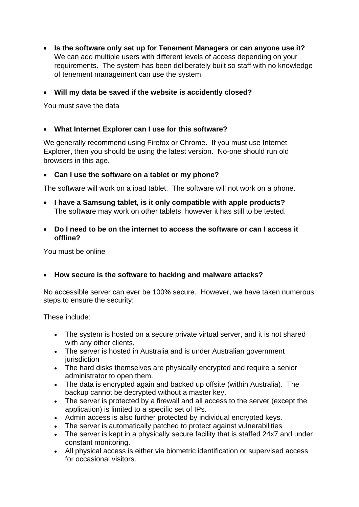- **Is the software only set up for Tenement Managers or can anyone use it?**  We can add multiple users with different levels of access depending on your requirements. The system has been deliberately built so staff with no knowledge of tenement management can use the system.
- **Will my data be saved if the website is accidently closed?**

You must save the data

• **What Internet Explorer can I use for this software?**

We generally recommend using Firefox or Chrome. If you must use Internet Explorer, then you should be using the latest version. No-one should run old browsers in this age.

• **Can I use the software on a tablet or my phone?**

The software will work on a ipad tablet. The software will not work on a phone.

- **I have a Samsung tablet, is it only compatible with apple products?** The software may work on other tablets, however it has still to be tested.
- **Do I need to be on the internet to access the software or can I access it offline?**

You must be online

• **How secure is the software to hacking and malware attacks?**

No accessible server can ever be 100% secure. However, we have taken numerous steps to ensure the security:

These include:

- The system is hosted on a secure private virtual server, and it is not shared with any other clients.
- The server is hosted in Australia and is under Australian government iurisdiction
- The hard disks themselves are physically encrypted and require a senior administrator to open them.
- The data is encrypted again and backed up offsite (within Australia). The backup cannot be decrypted without a master key.
- The server is protected by a firewall and all access to the server (except the application) is limited to a specific set of IPs.
- Admin access is also further protected by individual encrypted keys.
- The server is automatically patched to protect against vulnerabilities
- The server is kept in a physically secure facility that is staffed 24x7 and under constant monitoring.
- All physical access is either via biometric identification or supervised access for occasional visitors.